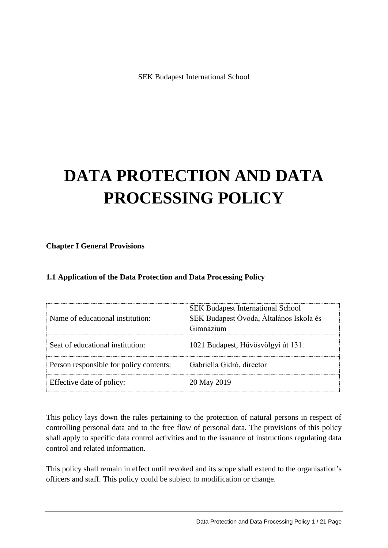SEK Budapest International School

# **DATA PROTECTION AND DATA PROCESSING POLICY**

**Chapter I General Provisions**

# **1.1 Application of the Data Protection and Data Processing Policy**

| Name of educational institution:        | <b>SEK Budapest International School</b><br>SEK Budapest Óvoda, Általános Iskola és<br>Gimnázium |
|-----------------------------------------|--------------------------------------------------------------------------------------------------|
| Seat of educational institution:        | 1021 Budapest, Hűvösvölgyi út 131.                                                               |
| Person responsible for policy contents: | Gabriella Gidró, director                                                                        |
| Effective date of policy:               | 20 May 2019                                                                                      |

This policy lays down the rules pertaining to the protection of natural persons in respect of controlling personal data and to the free flow of personal data. The provisions of this policy shall apply to specific data control activities and to the issuance of instructions regulating data control and related information.

This policy shall remain in effect until revoked and its scope shall extend to the organisation's officers and staff. This policy could be subject to modification or change.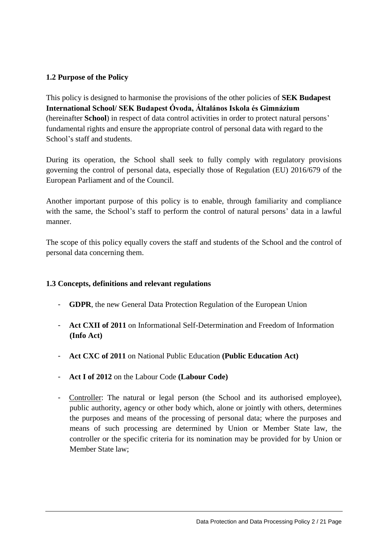## **1.2 Purpose of the Policy**

This policy is designed to harmonise the provisions of the other policies of **SEK Budapest International School/ SEK Budapest Óvoda, Általános Iskola és Gimnázium** (hereinafter **School**) in respect of data control activities in order to protect natural persons' fundamental rights and ensure the appropriate control of personal data with regard to the School's staff and students.

During its operation, the School shall seek to fully comply with regulatory provisions governing the control of personal data, especially those of Regulation (EU) 2016/679 of the European Parliament and of the Council.

Another important purpose of this policy is to enable, through familiarity and compliance with the same, the School's staff to perform the control of natural persons' data in a lawful manner.

The scope of this policy equally covers the staff and students of the School and the control of personal data concerning them.

## **1.3 Concepts, definitions and relevant regulations**

- **GDPR**, the new General Data Protection Regulation of the European Union
- **Act CXII of 2011** on Informational Self-Determination and Freedom of Information **(Info Act)**
- **Act CXC of 2011** on National Public Education **(Public Education Act)**
- **Act I of 2012** on the Labour Code **(Labour Code)**
- Controller: The natural or legal person (the School and its authorised employee), public authority, agency or other body which, alone or jointly with others, determines the purposes and means of the processing of personal data; where the purposes and means of such processing are determined by Union or Member State law, the controller or the specific criteria for its nomination may be provided for by Union or Member State law;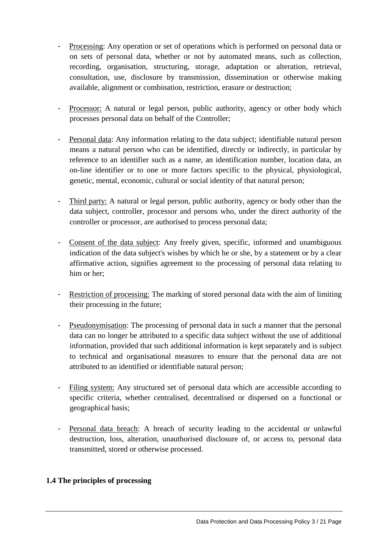- Processing: Any operation or set of operations which is performed on personal data or on sets of personal data, whether or not by automated means, such as collection, recording, organisation, structuring, storage, adaptation or alteration, retrieval, consultation, use, disclosure by transmission, dissemination or otherwise making available, alignment or combination, restriction, erasure or destruction;
- Processor: A natural or legal person, public authority, agency or other body which processes personal data on behalf of the Controller;
- Personal data: Any information relating to the data subject; identifiable natural person means a natural person who can be identified, directly or indirectly, in particular by reference to an identifier such as a name, an identification number, location data, an on-line identifier or to one or more factors specific to the physical, physiological, genetic, mental, economic, cultural or social identity of that natural person;
- Third party: A natural or legal person, public authority, agency or body other than the data subject, controller, processor and persons who, under the direct authority of the controller or processor, are authorised to process personal data;
- Consent of the data subject: Any freely given, specific, informed and unambiguous indication of the data subject's wishes by which he or she, by a statement or by a clear affirmative action, signifies agreement to the processing of personal data relating to him or her;
- Restriction of processing: The marking of stored personal data with the aim of limiting their processing in the future;
- Pseudonymisation: The processing of personal data in such a manner that the personal data can no longer be attributed to a specific data subject without the use of additional information, provided that such additional information is kept separately and is subject to technical and organisational measures to ensure that the personal data are not attributed to an identified or identifiable natural person;
- Filing system: Any structured set of personal data which are accessible according to specific criteria, whether centralised, decentralised or dispersed on a functional or geographical basis;
- Personal data breach: A breach of security leading to the accidental or unlawful destruction, loss, alteration, unauthorised disclosure of, or access to, personal data transmitted, stored or otherwise processed.

## **1.4 The principles of processing**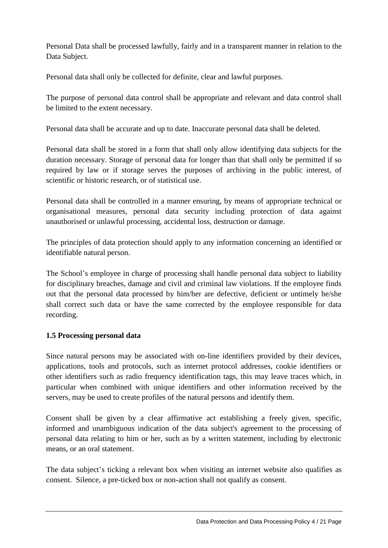Personal Data shall be processed lawfully, fairly and in a transparent manner in relation to the Data Subject.

Personal data shall only be collected for definite, clear and lawful purposes.

The purpose of personal data control shall be appropriate and relevant and data control shall be limited to the extent necessary.

Personal data shall be accurate and up to date. Inaccurate personal data shall be deleted.

Personal data shall be stored in a form that shall only allow identifying data subjects for the duration necessary. Storage of personal data for longer than that shall only be permitted if so required by law or if storage serves the purposes of archiving in the public interest, of scientific or historic research, or of statistical use.

Personal data shall be controlled in a manner ensuring, by means of appropriate technical or organisational measures, personal data security including protection of data against unauthorised or unlawful processing, accidental loss, destruction or damage.

The principles of data protection should apply to any information concerning an identified or identifiable natural person.

The School's employee in charge of processing shall handle personal data subject to liability for disciplinary breaches, damage and civil and criminal law violations. If the employee finds out that the personal data processed by him/her are defective, deficient or untimely he/she shall correct such data or have the same corrected by the employee responsible for data recording.

# **1.5 Processing personal data**

Since natural persons may be associated with on-line identifiers provided by their devices, applications, tools and protocols, such as internet protocol addresses, cookie identifiers or other identifiers such as radio frequency identification tags, this may leave traces which, in particular when combined with unique identifiers and other information received by the servers, may be used to create profiles of the natural persons and identify them.

Consent shall be given by a clear affirmative act establishing a freely given, specific, informed and unambiguous indication of the data subject's agreement to the processing of personal data relating to him or her, such as by a written statement, including by electronic means, or an oral statement.

The data subject's ticking a relevant box when visiting an internet website also qualifies as consent. Silence, a pre-ticked box or non-action shall not qualify as consent.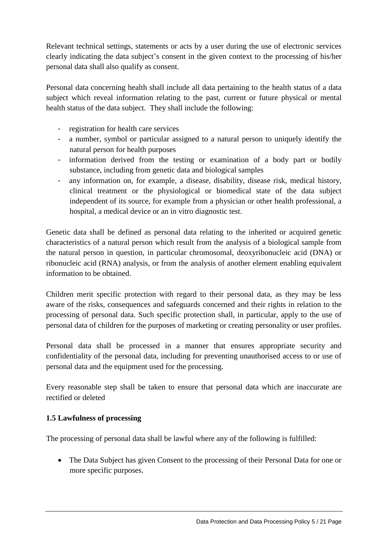Relevant technical settings, statements or acts by a user during the use of electronic services clearly indicating the data subject's consent in the given context to the processing of his/her personal data shall also qualify as consent.

Personal data concerning health shall include all data pertaining to the health status of a data subject which reveal information relating to the past, current or future physical or mental health status of the data subject. They shall include the following:

- registration for health care services
- a number, symbol or particular assigned to a natural person to uniquely identify the natural person for health purposes
- information derived from the testing or examination of a body part or bodily substance, including from genetic data and biological samples
- any information on, for example, a disease, disability, disease risk, medical history, clinical treatment or the physiological or biomedical state of the data subject independent of its source, for example from a physician or other health professional, a hospital, a medical device or an in vitro diagnostic test.

Genetic data shall be defined as personal data relating to the inherited or acquired genetic characteristics of a natural person which result from the analysis of a biological sample from the natural person in question, in particular chromosomal, deoxyribonucleic acid (DNA) or ribonucleic acid (RNA) analysis, or from the analysis of another element enabling equivalent information to be obtained.

Children merit specific protection with regard to their personal data, as they may be less aware of the risks, consequences and safeguards concerned and their rights in relation to the processing of personal data. Such specific protection shall, in particular, apply to the use of personal data of children for the purposes of marketing or creating personality or user profiles.

Personal data shall be processed in a manner that ensures appropriate security and confidentiality of the personal data, including for preventing unauthorised access to or use of personal data and the equipment used for the processing.

Every reasonable step shall be taken to ensure that personal data which are inaccurate are rectified or deleted

# **1.5 Lawfulness of processing**

The processing of personal data shall be lawful where any of the following is fulfilled:

• The Data Subject has given Consent to the processing of their Personal Data for one or more specific purposes.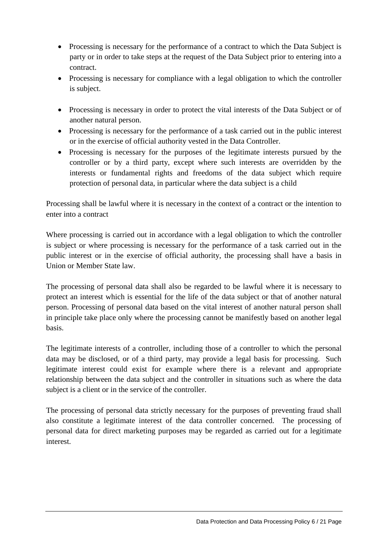- Processing is necessary for the performance of a contract to which the Data Subject is party or in order to take steps at the request of the Data Subject prior to entering into a contract.
- Processing is necessary for compliance with a legal obligation to which the controller is subject.
- Processing is necessary in order to protect the vital interests of the Data Subject or of another natural person.
- Processing is necessary for the performance of a task carried out in the public interest or in the exercise of official authority vested in the Data Controller.
- Processing is necessary for the purposes of the legitimate interests pursued by the controller or by a third party, except where such interests are overridden by the interests or fundamental rights and freedoms of the data subject which require protection of personal data, in particular where the data subject is a child

Processing shall be lawful where it is necessary in the context of a contract or the intention to enter into a contract

Where processing is carried out in accordance with a legal obligation to which the controller is subject or where processing is necessary for the performance of a task carried out in the public interest or in the exercise of official authority, the processing shall have a basis in Union or Member State law.

The processing of personal data shall also be regarded to be lawful where it is necessary to protect an interest which is essential for the life of the data subject or that of another natural person. Processing of personal data based on the vital interest of another natural person shall in principle take place only where the processing cannot be manifestly based on another legal basis.

The legitimate interests of a controller, including those of a controller to which the personal data may be disclosed, or of a third party, may provide a legal basis for processing. Such legitimate interest could exist for example where there is a relevant and appropriate relationship between the data subject and the controller in situations such as where the data subject is a client or in the service of the controller.

The processing of personal data strictly necessary for the purposes of preventing fraud shall also constitute a legitimate interest of the data controller concerned. The processing of personal data for direct marketing purposes may be regarded as carried out for a legitimate interest.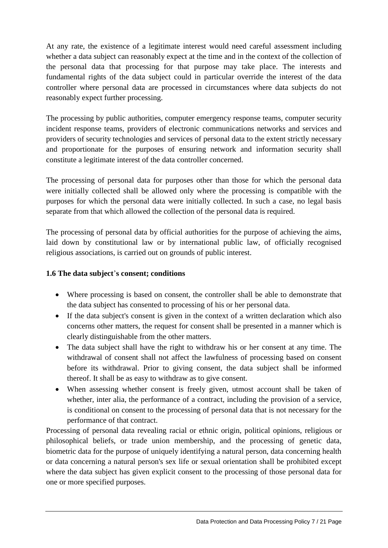At any rate, the existence of a legitimate interest would need careful assessment including whether a data subject can reasonably expect at the time and in the context of the collection of the personal data that processing for that purpose may take place. The interests and fundamental rights of the data subject could in particular override the interest of the data controller where personal data are processed in circumstances where data subjects do not reasonably expect further processing.

The processing by public authorities, computer emergency response teams, computer security incident response teams, providers of electronic communications networks and services and providers of security technologies and services of personal data to the extent strictly necessary and proportionate for the purposes of ensuring network and information security shall constitute a legitimate interest of the data controller concerned.

The processing of personal data for purposes other than those for which the personal data were initially collected shall be allowed only where the processing is compatible with the purposes for which the personal data were initially collected. In such a case, no legal basis separate from that which allowed the collection of the personal data is required.

The processing of personal data by official authorities for the purpose of achieving the aims, laid down by constitutional law or by international public law, of officially recognised religious associations, is carried out on grounds of public interest.

# **1.6 The data subject**'**s consent; conditions**

- Where processing is based on consent, the controller shall be able to demonstrate that the data subject has consented to processing of his or her personal data.
- If the data subject's consent is given in the context of a written declaration which also concerns other matters, the request for consent shall be presented in a manner which is clearly distinguishable from the other matters.
- The data subject shall have the right to withdraw his or her consent at any time. The withdrawal of consent shall not affect the lawfulness of processing based on consent before its withdrawal. Prior to giving consent, the data subject shall be informed thereof. It shall be as easy to withdraw as to give consent.
- When assessing whether consent is freely given, utmost account shall be taken of whether, inter alia, the performance of a contract, including the provision of a service, is conditional on consent to the processing of personal data that is not necessary for the performance of that contract.

Processing of personal data revealing racial or ethnic origin, political opinions, religious or philosophical beliefs, or trade union membership, and the processing of genetic data, biometric data for the purpose of uniquely identifying a natural person, data concerning health or data concerning a natural person's sex life or sexual orientation shall be prohibited except where the data subject has given explicit consent to the processing of those personal data for one or more specified purposes.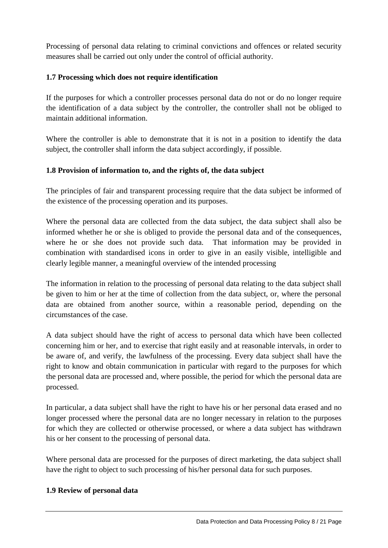Processing of personal data relating to criminal convictions and offences or related security measures shall be carried out only under the control of official authority.

## **1.7 Processing which does not require identification**

If the purposes for which a controller processes personal data do not or do no longer require the identification of a data subject by the controller, the controller shall not be obliged to maintain additional information.

Where the controller is able to demonstrate that it is not in a position to identify the data subject, the controller shall inform the data subject accordingly, if possible.

## **1.8 Provision of information to, and the rights of, the data subject**

The principles of fair and transparent processing require that the data subject be informed of the existence of the processing operation and its purposes.

Where the personal data are collected from the data subject, the data subject shall also be informed whether he or she is obliged to provide the personal data and of the consequences, where he or she does not provide such data. That information may be provided in combination with standardised icons in order to give in an easily visible, intelligible and clearly legible manner, a meaningful overview of the intended processing

The information in relation to the processing of personal data relating to the data subject shall be given to him or her at the time of collection from the data subject, or, where the personal data are obtained from another source, within a reasonable period, depending on the circumstances of the case.

A data subject should have the right of access to personal data which have been collected concerning him or her, and to exercise that right easily and at reasonable intervals, in order to be aware of, and verify, the lawfulness of the processing. Every data subject shall have the right to know and obtain communication in particular with regard to the purposes for which the personal data are processed and, where possible, the period for which the personal data are processed.

In particular, a data subject shall have the right to have his or her personal data erased and no longer processed where the personal data are no longer necessary in relation to the purposes for which they are collected or otherwise processed, or where a data subject has withdrawn his or her consent to the processing of personal data.

Where personal data are processed for the purposes of direct marketing, the data subject shall have the right to object to such processing of his/her personal data for such purposes.

## **1.9 Review of personal data**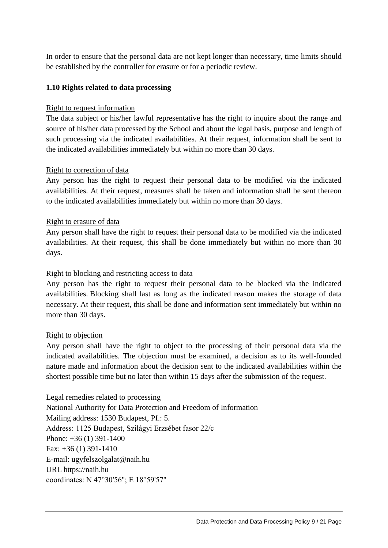In order to ensure that the personal data are not kept longer than necessary, time limits should be established by the controller for erasure or for a periodic review.

#### **1.10 Rights related to data processing**

#### Right to request information

The data subject or his/her lawful representative has the right to inquire about the range and source of his/her data processed by the School and about the legal basis, purpose and length of such processing via the indicated availabilities. At their request, information shall be sent to the indicated availabilities immediately but within no more than 30 days.

#### Right to correction of data

Any person has the right to request their personal data to be modified via the indicated availabilities. At their request, measures shall be taken and information shall be sent thereon to the indicated availabilities immediately but within no more than 30 days.

#### Right to erasure of data

Any person shall have the right to request their personal data to be modified via the indicated availabilities. At their request, this shall be done immediately but within no more than 30 days.

#### Right to blocking and restricting access to data

Any person has the right to request their personal data to be blocked via the indicated availabilities. Blocking shall last as long as the indicated reason makes the storage of data necessary. At their request, this shall be done and information sent immediately but within no more than 30 days.

#### Right to objection

Any person shall have the right to object to the processing of their personal data via the indicated availabilities. The objection must be examined, a decision as to its well-founded nature made and information about the decision sent to the indicated availabilities within the shortest possible time but no later than within 15 days after the submission of the request.

#### Legal remedies related to processing

National Authority for Data Protection and Freedom of Information Mailing address: 1530 Budapest, Pf.: 5. Address: 1125 Budapest, Szilágyi Erzsébet fasor 22/c Phone: +36 (1) 391-1400 Fax: +36 (1) 391-1410 E-mail: ugyfelszolgalat@naih.hu URL https://naih.hu coordinates: N 47°30'56''; E 18°59'57''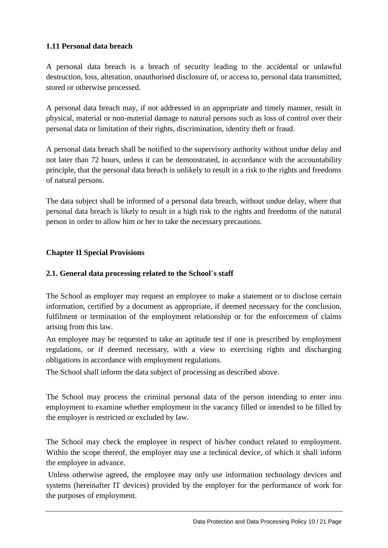# **1.11 Personal data breach**

A personal data breach is a breach of security leading to the accidental or unlawful destruction, loss, alteration, unauthorised disclosure of, or access to, personal data transmitted, stored or otherwise processed.

A personal data breach may, if not addressed in an appropriate and timely manner, result in physical, material or non-material damage to natural persons such as loss of control over their personal data or limitation of their rights, discrimination, identity theft or fraud.

A personal data breach shall be notified to the supervisory authority without undue delay and not later than 72 hours, unless it can be demonstrated, in accordance with the accountability principle, that the personal data breach is unlikely to result in a risk to the rights and freedoms of natural persons.

The data subject shall be informed of a personal data breach, without undue delay, where that personal data breach is likely to result in a high risk to the rights and freedoms of the natural person in order to allow him or her to take the necessary precautions.

## **Chapter II Special Provisions**

## **2.1. General data processing related to the School**'**s staff**

The School as employer may request an employee to make a statement or to disclose certain information, certified by a document as appropriate, if deemed necessary for the conclusion, fulfilment or termination of the employment relationship or for the enforcement of claims arising from this law.

An employee may be requested to take an aptitude test if one is prescribed by employment regulations, or if deemed necessary, with a view to exercising rights and discharging obligations in accordance with employment regulations.

The School shall inform the data subject of processing as described above.

The School may process the criminal personal data of the person intending to enter into employment to examine whether employment in the vacancy filled or intended to be filled by the employer is restricted or excluded by law.

The School may check the employee in respect of his/her conduct related to employment. Within the scope thereof, the employer may use a technical device, of which it shall inform the employee in advance.

Unless otherwise agreed, the employee may only use information technology devices and systems (hereinafter IT devices) provided by the employer for the performance of work for the purposes of employment.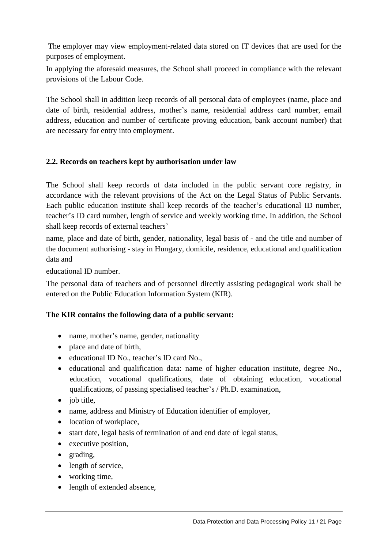The employer may view employment-related data stored on IT devices that are used for the purposes of employment.

In applying the aforesaid measures, the School shall proceed in compliance with the relevant provisions of the Labour Code.

The School shall in addition keep records of all personal data of employees (name, place and date of birth, residential address, mother's name, residential address card number, email address, education and number of certificate proving education, bank account number) that are necessary for entry into employment.

# **2.2. Records on teachers kept by authorisation under law**

The School shall keep records of data included in the public servant core registry, in accordance with the relevant provisions of the Act on the Legal Status of Public Servants. Each public education institute shall keep records of the teacher's educational ID number, teacher's ID card number, length of service and weekly working time. In addition, the School shall keep records of external teachers'

name, place and date of birth, gender, nationality, legal basis of - and the title and number of the document authorising - stay in Hungary, domicile, residence, educational and qualification data and

educational ID number.

The personal data of teachers and of personnel directly assisting pedagogical work shall be entered on the Public Education Information System (KIR).

## **The KIR contains the following data of a public servant:**

- name, mother's name, gender, nationality
- place and date of birth,
- educational ID No., teacher's ID card No.,
- educational and qualification data: name of higher education institute, degree No., education, vocational qualifications, date of obtaining education, vocational qualifications, of passing specialised teacher's / Ph.D. examination,
- $\bullet$  job title,
- name, address and Ministry of Education identifier of employer,
- location of workplace,
- start date, legal basis of termination of and end date of legal status,
- executive position,
- grading,
- length of service,
- working time,
- length of extended absence,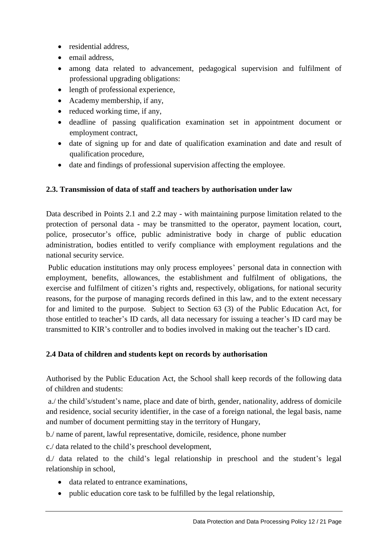- residential address,
- email address.
- among data related to advancement, pedagogical supervision and fulfilment of professional upgrading obligations:
- length of professional experience,
- Academy membership, if any,
- reduced working time, if any,
- deadline of passing qualification examination set in appointment document or employment contract,
- date of signing up for and date of qualification examination and date and result of qualification procedure,
- date and findings of professional supervision affecting the employee.

# **2.3. Transmission of data of staff and teachers by authorisation under law**

Data described in Points 2.1 and 2.2 may - with maintaining purpose limitation related to the protection of personal data - may be transmitted to the operator, payment location, court, police, prosecutor's office, public administrative body in charge of public education administration, bodies entitled to verify compliance with employment regulations and the national security service.

Public education institutions may only process employees' personal data in connection with employment, benefits, allowances, the establishment and fulfilment of obligations, the exercise and fulfilment of citizen's rights and, respectively, obligations, for national security reasons, for the purpose of managing records defined in this law, and to the extent necessary for and limited to the purpose. Subject to Section 63 (3) of the Public Education Act, for those entitled to teacher's ID cards, all data necessary for issuing a teacher's ID card may be transmitted to KIR's controller and to bodies involved in making out the teacher's ID card.

# **2.4 Data of children and students kept on records by authorisation**

Authorised by the Public Education Act, the School shall keep records of the following data of children and students:

a./ the child's/student's name, place and date of birth, gender, nationality, address of domicile and residence, social security identifier, in the case of a foreign national, the legal basis, name and number of document permitting stay in the territory of Hungary,

b./ name of parent, lawful representative, domicile, residence, phone number

c./ data related to the child's preschool development,

d./ data related to the child's legal relationship in preschool and the student's legal relationship in school,

- data related to entrance examinations,
- public education core task to be fulfilled by the legal relationship,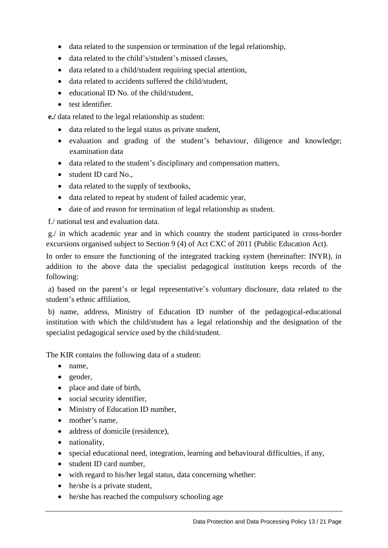- data related to the suspension or termination of the legal relationship,
- data related to the child's/student's missed classes,
- data related to a child/student requiring special attention,
- data related to accidents suffered the child/student,
- educational ID No. of the child/student,
- test identifier.

**e./** data related to the legal relationship as student:

- data related to the legal status as private student,
- evaluation and grading of the student's behaviour, diligence and knowledge; examination data
- data related to the student's disciplinary and compensation matters,
- student ID card No.,
- data related to the supply of textbooks,
- data related to repeat by student of failed academic year,
- date of and reason for termination of legal relationship as student.

f./ national test and evaluation data.

g./ in which academic year and in which country the student participated in cross-border excursions organised subject to Section 9 (4) of Act CXC of 2011 (Public Education Act).

In order to ensure the functioning of the integrated tracking system (hereinafter: INYR), in addition to the above data the specialist pedagogical institution keeps records of the following:

a) based on the parent's or legal representative's voluntary disclosure, data related to the student's ethnic affiliation,

b) name, address, Ministry of Education ID number of the pedagogical-educational institution with which the child/student has a legal relationship and the designation of the specialist pedagogical service used by the child/student.

The KIR contains the following data of a student:

- name.
- gender,
- place and date of birth,
- social security identifier,
- Ministry of Education ID number.
- mother's name,
- address of domicile (residence),
- nationality,
- special educational need, integration, learning and behavioural difficulties, if any,
- student ID card number,
- with regard to his/her legal status, data concerning whether:
- he/she is a private student,
- he/she has reached the compulsory schooling age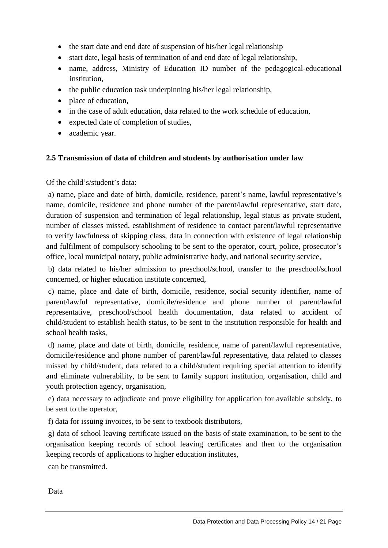- the start date and end date of suspension of his/her legal relationship
- start date, legal basis of termination of and end date of legal relationship,
- name, address, Ministry of Education ID number of the pedagogical-educational institution,
- the public education task underpinning his/her legal relationship,
- place of education.
- in the case of adult education, data related to the work schedule of education,
- expected date of completion of studies,
- academic year.

## **2.5 Transmission of data of children and students by authorisation under law**

Of the child's/student's data:

a) name, place and date of birth, domicile, residence, parent's name, lawful representative's name, domicile, residence and phone number of the parent/lawful representative, start date, duration of suspension and termination of legal relationship, legal status as private student, number of classes missed, establishment of residence to contact parent/lawful representative to verify lawfulness of skipping class, data in connection with existence of legal relationship and fulfilment of compulsory schooling to be sent to the operator, court, police, prosecutor's office, local municipal notary, public administrative body, and national security service,

b) data related to his/her admission to preschool/school, transfer to the preschool/school concerned, or higher education institute concerned,

c) name, place and date of birth, domicile, residence, social security identifier, name of parent/lawful representative, domicile/residence and phone number of parent/lawful representative, preschool/school health documentation, data related to accident of child/student to establish health status, to be sent to the institution responsible for health and school health tasks,

d) name, place and date of birth, domicile, residence, name of parent/lawful representative, domicile/residence and phone number of parent/lawful representative, data related to classes missed by child/student, data related to a child/student requiring special attention to identify and eliminate vulnerability, to be sent to family support institution, organisation, child and youth protection agency, organisation,

e) data necessary to adjudicate and prove eligibility for application for available subsidy, to be sent to the operator,

f) data for issuing invoices, to be sent to textbook distributors,

g) data of school leaving certificate issued on the basis of state examination, to be sent to the organisation keeping records of school leaving certificates and then to the organisation keeping records of applications to higher education institutes,

can be transmitted.

Data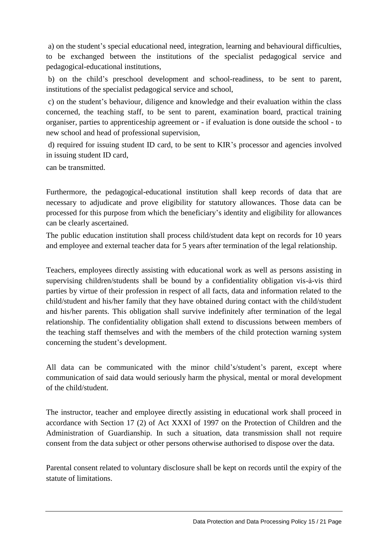a) on the student's special educational need, integration, learning and behavioural difficulties, to be exchanged between the institutions of the specialist pedagogical service and pedagogical-educational institutions,

b) on the child's preschool development and school-readiness, to be sent to parent, institutions of the specialist pedagogical service and school,

c) on the student's behaviour, diligence and knowledge and their evaluation within the class concerned, the teaching staff, to be sent to parent, examination board, practical training organiser, parties to apprenticeship agreement or - if evaluation is done outside the school - to new school and head of professional supervision,

d) required for issuing student ID card, to be sent to KIR's processor and agencies involved in issuing student ID card,

can be transmitted.

Furthermore, the pedagogical-educational institution shall keep records of data that are necessary to adjudicate and prove eligibility for statutory allowances. Those data can be processed for this purpose from which the beneficiary's identity and eligibility for allowances can be clearly ascertained.

The public education institution shall process child/student data kept on records for 10 years and employee and external teacher data for 5 years after termination of the legal relationship.

Teachers, employees directly assisting with educational work as well as persons assisting in supervising children/students shall be bound by a confidentiality obligation vis-à-vis third parties by virtue of their profession in respect of all facts, data and information related to the child/student and his/her family that they have obtained during contact with the child/student and his/her parents. This obligation shall survive indefinitely after termination of the legal relationship. The confidentiality obligation shall extend to discussions between members of the teaching staff themselves and with the members of the child protection warning system concerning the student's development.

All data can be communicated with the minor child's/student's parent, except where communication of said data would seriously harm the physical, mental or moral development of the child/student.

The instructor, teacher and employee directly assisting in educational work shall proceed in accordance with Section 17 (2) of Act XXXI of 1997 on the Protection of Children and the Administration of Guardianship. In such a situation, data transmission shall not require consent from the data subject or other persons otherwise authorised to dispose over the data.

Parental consent related to voluntary disclosure shall be kept on records until the expiry of the statute of limitations.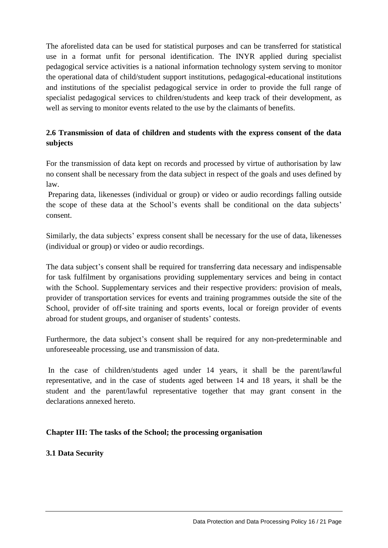The aforelisted data can be used for statistical purposes and can be transferred for statistical use in a format unfit for personal identification. The INYR applied during specialist pedagogical service activities is a national information technology system serving to monitor the operational data of child/student support institutions, pedagogical-educational institutions and institutions of the specialist pedagogical service in order to provide the full range of specialist pedagogical services to children/students and keep track of their development, as well as serving to monitor events related to the use by the claimants of benefits.

# **2.6 Transmission of data of children and students with the express consent of the data subjects**

For the transmission of data kept on records and processed by virtue of authorisation by law no consent shall be necessary from the data subject in respect of the goals and uses defined by law.

Preparing data, likenesses (individual or group) or video or audio recordings falling outside the scope of these data at the School's events shall be conditional on the data subjects' consent.

Similarly, the data subjects' express consent shall be necessary for the use of data, likenesses (individual or group) or video or audio recordings.

The data subject's consent shall be required for transferring data necessary and indispensable for task fulfilment by organisations providing supplementary services and being in contact with the School. Supplementary services and their respective providers: provision of meals, provider of transportation services for events and training programmes outside the site of the School, provider of off-site training and sports events, local or foreign provider of events abroad for student groups, and organiser of students' contests.

Furthermore, the data subject's consent shall be required for any non-predeterminable and unforeseeable processing, use and transmission of data.

In the case of children/students aged under 14 years, it shall be the parent/lawful representative, and in the case of students aged between 14 and 18 years, it shall be the student and the parent/lawful representative together that may grant consent in the declarations annexed hereto.

# **Chapter III: The tasks of the School; the processing organisation**

**3.1 Data Security**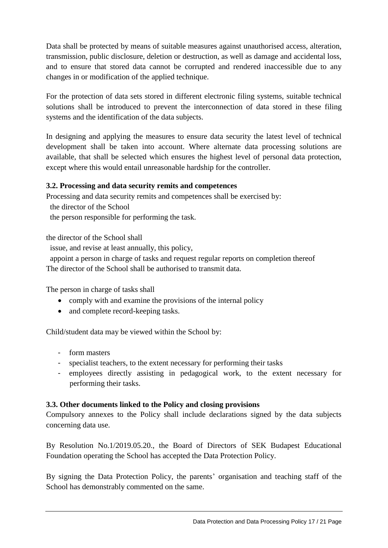Data shall be protected by means of suitable measures against unauthorised access, alteration, transmission, public disclosure, deletion or destruction, as well as damage and accidental loss, and to ensure that stored data cannot be corrupted and rendered inaccessible due to any changes in or modification of the applied technique.

For the protection of data sets stored in different electronic filing systems, suitable technical solutions shall be introduced to prevent the interconnection of data stored in these filing systems and the identification of the data subjects.

In designing and applying the measures to ensure data security the latest level of technical development shall be taken into account. Where alternate data processing solutions are available, that shall be selected which ensures the highest level of personal data protection, except where this would entail unreasonable hardship for the controller.

# **3.2. Processing and data security remits and competences**

Processing and data security remits and competences shall be exercised by:

the director of the School

the person responsible for performing the task.

the director of the School shall

issue, and revise at least annually, this policy,

 appoint a person in charge of tasks and request regular reports on completion thereof The director of the School shall be authorised to transmit data.

The person in charge of tasks shall

- comply with and examine the provisions of the internal policy
- and complete record-keeping tasks.

Child/student data may be viewed within the School by:

- form masters
- specialist teachers, to the extent necessary for performing their tasks
- employees directly assisting in pedagogical work, to the extent necessary for performing their tasks.

## **3.3. Other documents linked to the Policy and closing provisions**

Compulsory annexes to the Policy shall include declarations signed by the data subjects concerning data use.

By Resolution No.1/2019.05.20., the Board of Directors of SEK Budapest Educational Foundation operating the School has accepted the Data Protection Policy.

By signing the Data Protection Policy, the parents' organisation and teaching staff of the School has demonstrably commented on the same.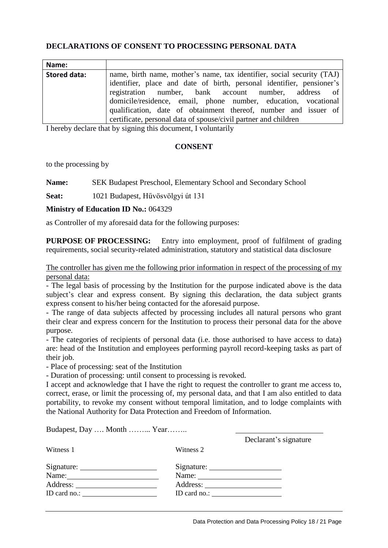## **DECLARATIONS OF CONSENT TO PROCESSING PERSONAL DATA**

| Name:               |                                                                        |  |
|---------------------|------------------------------------------------------------------------|--|
| <b>Stored data:</b> | name, birth name, mother's name, tax identifier, social security (TAJ) |  |
|                     | identifier, place and date of birth, personal identifier, pensioner's  |  |
|                     | registration number, bank account number, address of                   |  |
|                     | domicile/residence, email, phone number, education, vocational         |  |
|                     | qualification, date of obtainment thereof, number and issuer of        |  |
|                     | certificate, personal data of spouse/civil partner and children        |  |

I hereby declare that by signing this document, I voluntarily

#### **CONSENT**

to the processing by

**Name:** SEK Budapest Preschool, Elementary School and Secondary School

**Seat:** 1021 Budapest, Hűvösvölgyi út 131

**Ministry of Education ID No.:** 064329

as Controller of my aforesaid data for the following purposes:

**PURPOSE OF PROCESSING:** Entry into employment, proof of fulfilment of grading requirements, social security-related administration, statutory and statistical data disclosure

The controller has given me the following prior information in respect of the processing of my personal data:

- The legal basis of processing by the Institution for the purpose indicated above is the data subject's clear and express consent. By signing this declaration, the data subject grants express consent to his/her being contacted for the aforesaid purpose.

- The range of data subjects affected by processing includes all natural persons who grant their clear and express concern for the Institution to process their personal data for the above purpose.

- The categories of recipients of personal data (i.e. those authorised to have access to data) are: head of the Institution and employees performing payroll record-keeping tasks as part of their job.

- Place of processing: seat of the Institution

- Duration of processing: until consent to processing is revoked.

I accept and acknowledge that I have the right to request the controller to grant me access to, correct, erase, or limit the processing of, my personal data, and that I am also entitled to data portability, to revoke my consent without temporal limitation, and to lodge complaints with the National Authority for Data Protection and Freedom of Information.

Budapest, Day …. Month ……... Year……..

|              | Declarant's signature |
|--------------|-----------------------|
| Witness 2    |                       |
|              |                       |
|              |                       |
|              |                       |
| ID card no.: | ID card no.:          |
|              |                       |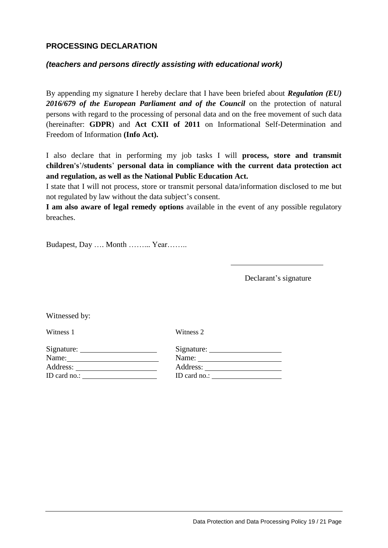## **PROCESSING DECLARATION**

## *(teachers and persons directly assisting with educational work)*

By appending my signature I hereby declare that I have been briefed about *Regulation (EU) 2016/679 of the European Parliament and of the Council* on the protection of natural persons with regard to the processing of personal data and on the free movement of such data (hereinafter: **GDPR**) and **Act CXII of 2011** on Informational Self-Determination and Freedom of Information **(Info Act).**

I also declare that in performing my job tasks I will **process, store and transmit children's**'**/students**' **personal data in compliance with the current data protection act and regulation, as well as the National Public Education Act.**

I state that I will not process, store or transmit personal data/information disclosed to me but not regulated by law without the data subject's consent.

**I am also aware of legal remedy options** available in the event of any possible regulatory breaches.

Budapest, Day …. Month ……... Year……..

Declarant's signature

Witnessed by:

Witness 1 Witness 2

| Signature:   | Signature:   |
|--------------|--------------|
| Name:        | Name:        |
| Address:     | Address:     |
| ID card no.: | ID card no.: |
|              |              |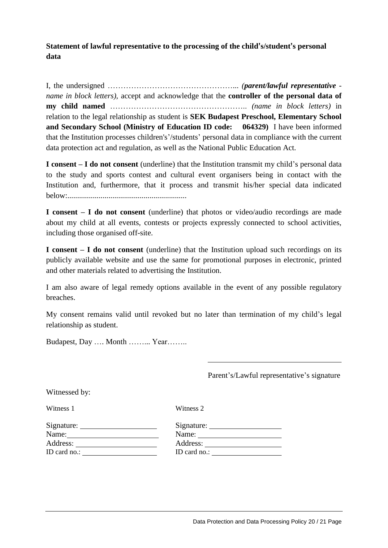# **Statement of lawful representative to the processing of the child's/student's personal data**

I, the undersigned …………………………………………... *(parent/lawful representative name in block letters),* accept and acknowledge that the **controller of the personal data of my child named** …………………………………………….. *(name in block letters)* in relation to the legal relationship as student is **SEK Budapest Preschool, Elementary School and Secondary School (Ministry of Education ID code: 064329)** I have been informed that the Institution processes children's'/students' personal data in compliance with the current data protection act and regulation, as well as the National Public Education Act.

**I consent – I do not consent** (underline) that the Institution transmit my child's personal data to the study and sports contest and cultural event organisers being in contact with the Institution and, furthermore, that it process and transmit his/her special data indicated below:.............................................................

**I consent – I do not consent** (underline) that photos or video/audio recordings are made about my child at all events, contests or projects expressly connected to school activities, including those organised off-site.

**I consent – I do not consent** (underline) that the Institution upload such recordings on its publicly available website and use the same for promotional purposes in electronic, printed and other materials related to advertising the Institution.

I am also aware of legal remedy options available in the event of any possible regulatory breaches.

My consent remains valid until revoked but no later than termination of my child's legal relationship as student.

Budapest, Day …. Month ……... Year……..

Parent's/Lawful representative's signature

Witnessed by:

Witness 1 Witness 2

| Signature:   |
|--------------|
| Name:        |
| Address:     |
| ID card no.: |
|              |

Signature: Name: Address: Address: ID card no.: